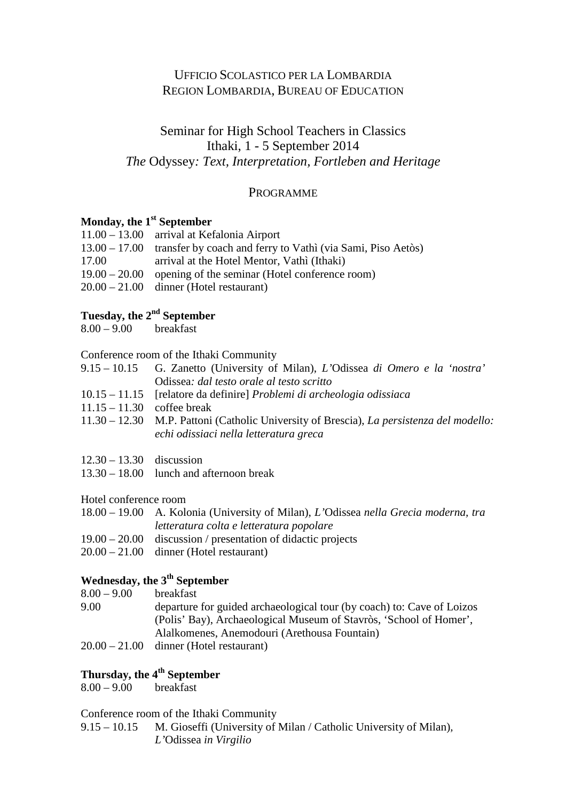## UFFICIO SCOLASTICO PER LA LOMBARDIA REGION LOMBARDIA, BUREAU OF EDUCATION

## Seminar for High School Teachers in Classics Ithaki, 1 - 5 September 2014 *The* Odyssey*: Text, Interpretation, Fortleben and Heritage*

### PROGRAMME

### **Monday, the 1st September**

|       | $11.00 - 13.00$ arrival at Kefalonia Airport                              |
|-------|---------------------------------------------------------------------------|
|       | 13.00 – 17.00 transfer by coach and ferry to Vathi (via Sami, Piso Aetòs) |
| 17.00 | arrival at the Hotel Mentor, Vathi (Ithaki)                               |
|       | $19.00 - 20.00$ opening of the seminar (Hotel conference room)            |
|       | $20.00 - 21.00$ dinner (Hotel restaurant)                                 |
|       |                                                                           |

## **Tuesday, the 2nd September**

 $8.00 - 9.00$  breakfast

#### Conference room of the Ithaki Community

- 9.15 10.15 G. Zanetto (University of Milan), *L'*Odissea *di Omero e la 'nostra'*  Odissea*: dal testo orale al testo scritto*
- 10.15 11.15 [relatore da definire] *Problemi di archeologia odissiaca*
- 11.15 11.30 coffee break
- 11.30 12.30 M.P. Pattoni (Catholic University of Brescia), *La persistenza del modello: echi odissiaci nella letteratura greca*
- 12.30 13.30 discussion
- 13.30 18.00 lunch and afternoon break

#### Hotel conference room

| 18.00 – 19.00 A. Kolonia (University of Milan), L'Odissea nella Grecia moderna, tra |
|-------------------------------------------------------------------------------------|
| letteratura colta e letteratura popolare                                            |

- 19.00 20.00 discussion / presentation of didactic projects
- 20.00 21.00 dinner (Hotel restaurant)

## **Wednesday, the 3th September**

- $8.00 9.00$  breakfast
- 9.00 departure for guided archaeological tour (by coach) to: Cave of Loizos (Polis' Bay), Archaeological Museum of Stavròs, 'School of Homer', Alalkomenes, Anemodouri (Arethousa Fountain)
- 20.00 21.00 dinner (Hotel restaurant)

## **Thursday, the 4th September**

 $8.00 - 9.00$  breakfast

#### Conference room of the Ithaki Community

9.15 – 10.15 M. Gioseffi (University of Milan / Catholic University of Milan)*, L'*Odissea *in Virgilio*